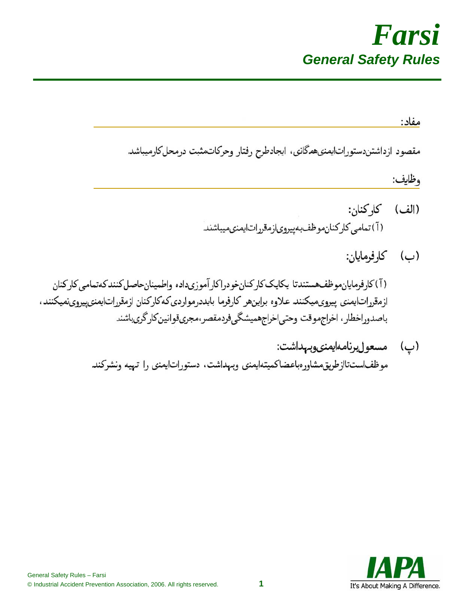

مفاد: مقصود ازداشتن دستورات ايمنى همگانى، ايجادطرح رفتار وحركاتمثبت درمحل كارميباشد وظايف: (الف) كاركنان: (آ) تمامی کار کنان موظف بهپیروی از مقررات ایمنی میباشند. (ب) كارفرمايان: (آ)كارفرمايانموظف هستندتا يكايككاركنان خودراكار آموزىداده واطمينان حاصل كنندكهتمامي كاركنان ازمقرراتايمنى پيروىميكنند علاوه براينهر كارفرما بايددرمواردى كهكاركنان ازمقرراتايمنىپيروىنميكنند، باصدوراخطار، اخراجموقت وحتى اخراجهميشگيفردمقصر،مجرىقوانين كارگرىباشند (پ) مسعول برنامه ايمنى وبهداشت:

موظفاستتاازطریق مشاورهباعضاكميتهايمنى وبىهداشت، دستوراتايمنى را تىهيه ونشركند

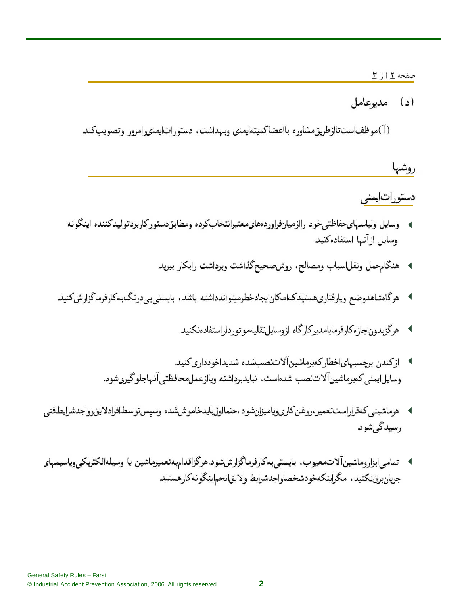## صفحه 11ز 1

(د) مديوعامل

( آ )موظفاستتاازطریق مشاور ، بااعضاکمیتهایمنی وبهداشت، دستوراتایمنی رامرور وتصویبکند.

روشها دستوراتايمنى

- ﴾ \_ وسایل ولباسهایحفاظتی خود , اازمیانفراوردههایمعتبرانتخاب کرده ومطابق دستور کاربرد تولید کننده اینگو نه وسایل از آنها استفاده کنید.
	- ﴾ هنگامحمل ونقلاسباب ومصالح، روشصحيحگذاشت وبرداشت رابكار ببريد
- ▶ هرگاهشاهدوضع ويارفتاريهستيدكهامكانايجادخطرميتواندداشته باشد، بايستىيىردرنگبهكارفرماگزارشكنيد
	- **▶ \_\_ هرگزبدون!جازهکارفرمايامديرکارگاه ازوسايلنقليمموتورداراستفادهنکنيد**
	- ▶ \_ J; كندن برچسبهای|خطار كەبرماشین[لاتنصیـشده شدید|خودداری كنید. وسايل|يمنى كەبرماشين آلاتنصب شدهاست، نبايدبرداشته وياازعملمحافظتي آنهاجلوگيريشود.
- › هرماشيني كەقراراستتعمير،روغن كارىوياميزانشود ،حتمااولبايدخاموششده وسپستوسطافرادلايقوواجدشرايطفنى رسيدگۍشود.
- ﴾ تمامي ابزاروماشينآلاتحعيوب، بايستي بهكارفرماگزارششود. هرگزاقدامبهتعميرماشين يا وسيلهالكتريكي,وياسيمهاي جريان برق نكنيد، مگراينكهخودشخصاواجدشرايط ولايقانجم اينگونه كارهستيد